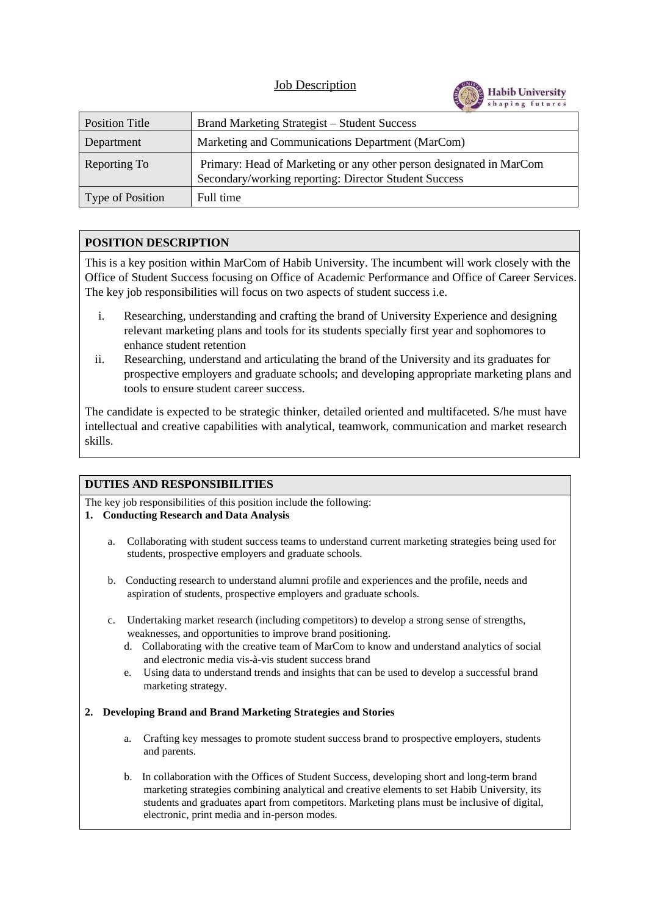# Job Description



| Position Title   | Brand Marketing Strategist – Student Success                                                                                 |  |
|------------------|------------------------------------------------------------------------------------------------------------------------------|--|
| Department       | Marketing and Communications Department (MarCom)                                                                             |  |
| Reporting To     | Primary: Head of Marketing or any other person designated in MarCom<br>Secondary/working reporting: Director Student Success |  |
| Type of Position | Full time                                                                                                                    |  |

# **POSITION DESCRIPTION**

This is a key position within MarCom of Habib University. The incumbent will work closely with the Office of Student Success focusing on Office of Academic Performance and Office of Career Services. The key job responsibilities will focus on two aspects of student success i.e.

- i. Researching, understanding and crafting the brand of University Experience and designing relevant marketing plans and tools for its students specially first year and sophomores to enhance student retention
- ii. Researching, understand and articulating the brand of the University and its graduates for prospective employers and graduate schools; and developing appropriate marketing plans and tools to ensure student career success.

The candidate is expected to be strategic thinker, detailed oriented and multifaceted. S/he must have intellectual and creative capabilities with analytical, teamwork, communication and market research skills.

## **DUTIES AND RESPONSIBILITIES**

The key job responsibilities of this position include the following:

- **1. Conducting Research and Data Analysis**
	- a. Collaborating with student success teams to understand current marketing strategies being used for students, prospective employers and graduate schools.
	- b. Conducting research to understand alumni profile and experiences and the profile, needs and aspiration of students, prospective employers and graduate schools.
	- c. Undertaking market research (including competitors) to develop a strong sense of strengths, weaknesses, and opportunities to improve brand positioning.
		- d. Collaborating with the creative team of MarCom to know and understand analytics of social and electronic media vis-à-vis student success brand
		- e. Using data to understand trends and insights that can be used to develop a successful brand marketing strategy.

### **2. Developing Brand and Brand Marketing Strategies and Stories**

- a. Crafting key messages to promote student success brand to prospective employers, students and parents.
- b. In collaboration with the Offices of Student Success, developing short and long-term brand marketing strategies combining analytical and creative elements to set Habib University, its students and graduates apart from competitors. Marketing plans must be inclusive of digital, electronic, print media and in-person modes.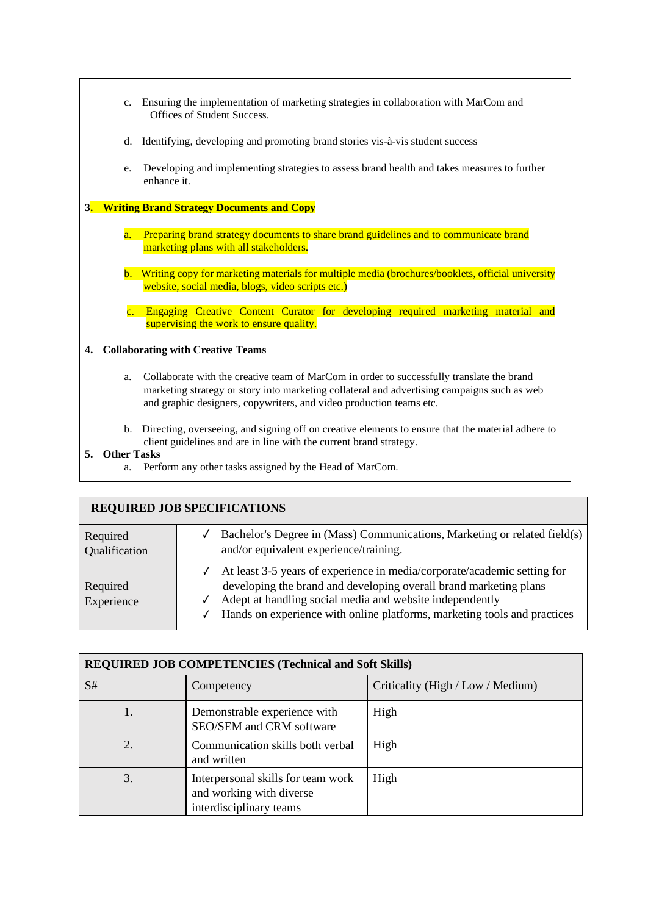| $c_{\cdot}$                                                        | Ensuring the implementation of marketing strategies in collaboration with MarCom and<br>Offices of Student Success.                                                                      |  |  |  |
|--------------------------------------------------------------------|------------------------------------------------------------------------------------------------------------------------------------------------------------------------------------------|--|--|--|
| d.                                                                 | Identifying, developing and promoting brand stories vis-à-vis student success                                                                                                            |  |  |  |
| e.                                                                 | Developing and implementing strategies to assess brand health and takes measures to further<br>enhance it.                                                                               |  |  |  |
| <b>Writing Brand Strategy Documents and Copy</b><br>3 <sub>1</sub> |                                                                                                                                                                                          |  |  |  |
| a.                                                                 | Preparing brand strategy documents to share brand guidelines and to communicate brand<br>marketing plans with all stakeholders.                                                          |  |  |  |
|                                                                    | b. Writing copy for marketing materials for multiple media (brochures/booklets, official university<br>website, social media, blogs, video scripts etc.)                                 |  |  |  |
| $\mathbf{c}$ .                                                     | Engaging Creative Content Curator for developing required marketing material and<br>supervising the work to ensure quality.                                                              |  |  |  |
| <b>Collaborating with Creative Teams</b><br>4.                     |                                                                                                                                                                                          |  |  |  |
| a.                                                                 | Collaborate with the creative team of MarCom in order to successfully translate the brand<br>marketing strategy or story into marketing collateral and advertising campaigns such as web |  |  |  |

b. Directing, overseeing, and signing off on creative elements to ensure that the material adhere to client guidelines and are in line with the current brand strategy.

### **5. Other Tasks**

a. Perform any other tasks assigned by the Head of MarCom.

and graphic designers, copywriters, and video production teams etc.

| <b>REQUIRED JOB SPECIFICATIONS</b> |                                                                                                                                                                                                                                                                                            |  |  |  |
|------------------------------------|--------------------------------------------------------------------------------------------------------------------------------------------------------------------------------------------------------------------------------------------------------------------------------------------|--|--|--|
| Required<br>Qualification          | Bachelor's Degree in (Mass) Communications, Marketing or related field(s)<br>and/or equivalent experience/training.                                                                                                                                                                        |  |  |  |
| Required<br>Experience             | At least 3-5 years of experience in media/corporate/academic setting for<br>developing the brand and developing overall brand marketing plans<br>Adept at handling social media and website independently<br>√<br>Hands on experience with online platforms, marketing tools and practices |  |  |  |

| <b>REQUIRED JOB COMPETENCIES (Technical and Soft Skills)</b> |                                                                                           |                                   |  |  |
|--------------------------------------------------------------|-------------------------------------------------------------------------------------------|-----------------------------------|--|--|
| S#                                                           | Competency                                                                                | Criticality (High / Low / Medium) |  |  |
| 1.                                                           | Demonstrable experience with<br>SEO/SEM and CRM software                                  | High                              |  |  |
| 2.                                                           | Communication skills both verbal<br>and written                                           | High                              |  |  |
| 3.                                                           | Interpersonal skills for team work<br>and working with diverse<br>interdisciplinary teams | High                              |  |  |